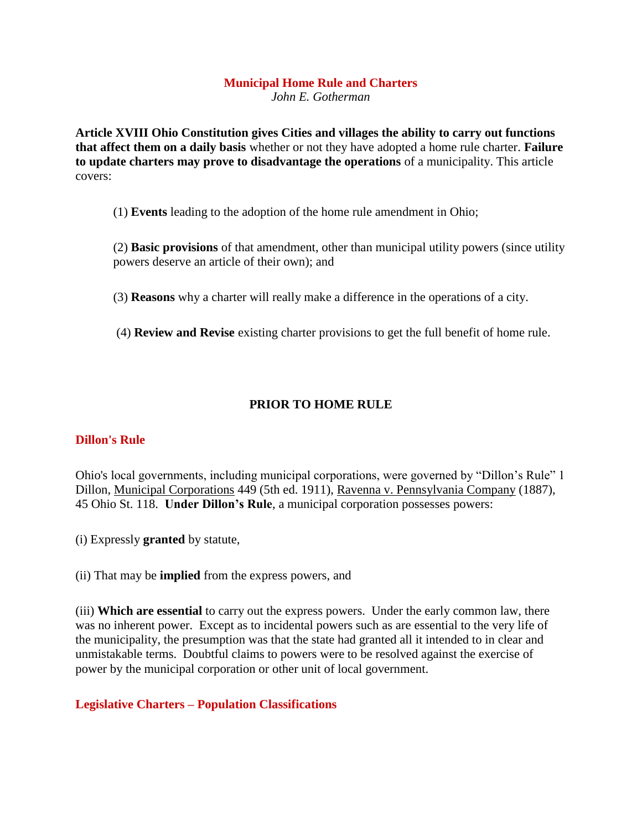# **Municipal Home Rule and Charters**

*John E. Gotherman* 

**Article XVIII Ohio Constitution gives Cities and villages the ability to carry out functions that affect them on a daily basis** whether or not they have adopted a home rule charter. **Failure to update charters may prove to disadvantage the operations** of a municipality. This article covers:

(1) **Events** leading to the adoption of the home rule amendment in Ohio;

(2) **Basic provisions** of that amendment, other than municipal utility powers (since utility powers deserve an article of their own); and

(3) **Reasons** why a charter will really make a difference in the operations of a city.

(4) **Review and Revise** existing charter provisions to get the full benefit of home rule.

## **PRIOR TO HOME RULE**

### **Dillon's Rule**

Ohio's local governments, including municipal corporations, were governed by "Dillon's Rule" 1 Dillon, Municipal Corporations 449 (5th ed. 1911), Ravenna v. Pennsylvania Company (1887), 45 Ohio St. 118. **Under Dillon's Rule**, a municipal corporation possesses powers:

(i) Expressly **granted** by statute,

(ii) That may be **implied** from the express powers, and

(iii) **Which are essential** to carry out the express powers. Under the early common law, there was no inherent power. Except as to incidental powers such as are essential to the very life of the municipality, the presumption was that the state had granted all it intended to in clear and unmistakable terms. Doubtful claims to powers were to be resolved against the exercise of power by the municipal corporation or other unit of local government.

### **Legislative Charters – Population Classifications**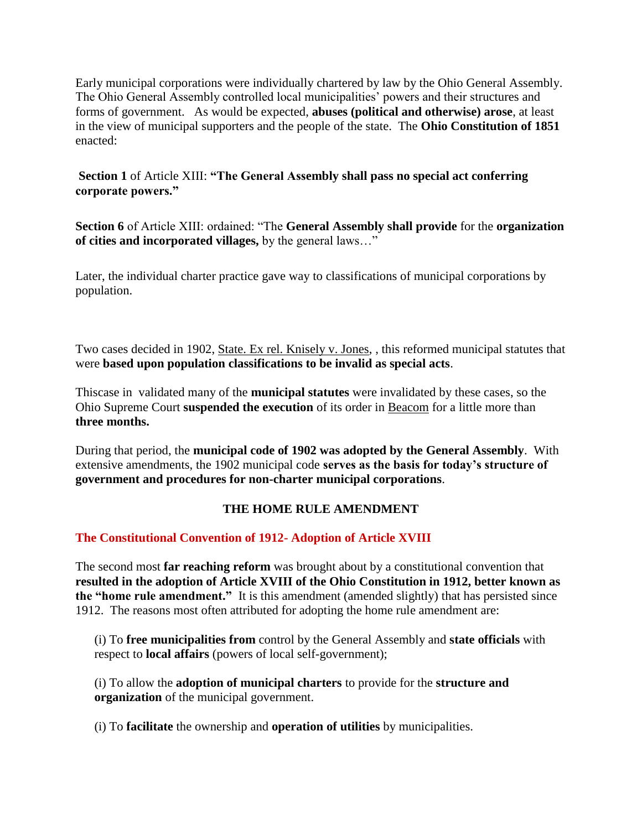Early municipal corporations were individually chartered by law by the Ohio General Assembly. The Ohio General Assembly controlled local municipalities' powers and their structures and forms of government. As would be expected, **abuses (political and otherwise) arose**, at least in the view of municipal supporters and the people of the state. The **Ohio Constitution of 1851** enacted:

## **Section 1** of Article XIII: **"The General Assembly shall pass no special act conferring corporate powers."**

**Section 6** of Article XIII: ordained: "The **General Assembly shall provide** for the **organization of cities and incorporated villages,** by the general laws…"

Later, the individual charter practice gave way to classifications of municipal corporations by population.

Two cases decided in 1902, State. Ex rel. Knisely v. Jones, , this reformed municipal statutes that were **based upon population classifications to be invalid as special acts**.

Thiscase in validated many of the **municipal statutes** were invalidated by these cases, so the Ohio Supreme Court **suspended the execution** of its order in Beacom for a little more than **three months.** 

During that period, the **municipal code of 1902 was adopted by the General Assembly**. With extensive amendments, the 1902 municipal code **serves as the basis for today's structure of government and procedures for non-charter municipal corporations**.

## **THE HOME RULE AMENDMENT**

## **The Constitutional Convention of 1912- Adoption of Article XVIII**

The second most **far reaching reform** was brought about by a constitutional convention that **resulted in the adoption of Article XVIII of the Ohio Constitution in 1912, better known as the "home rule amendment."** It is this amendment (amended slightly) that has persisted since 1912. The reasons most often attributed for adopting the home rule amendment are:

(i) To **free municipalities from** control by the General Assembly and **state officials** with respect to **local affairs** (powers of local self-government);

(i) To allow the **adoption of municipal charters** to provide for the **structure and organization** of the municipal government.

(i) To **facilitate** the ownership and **operation of utilities** by municipalities.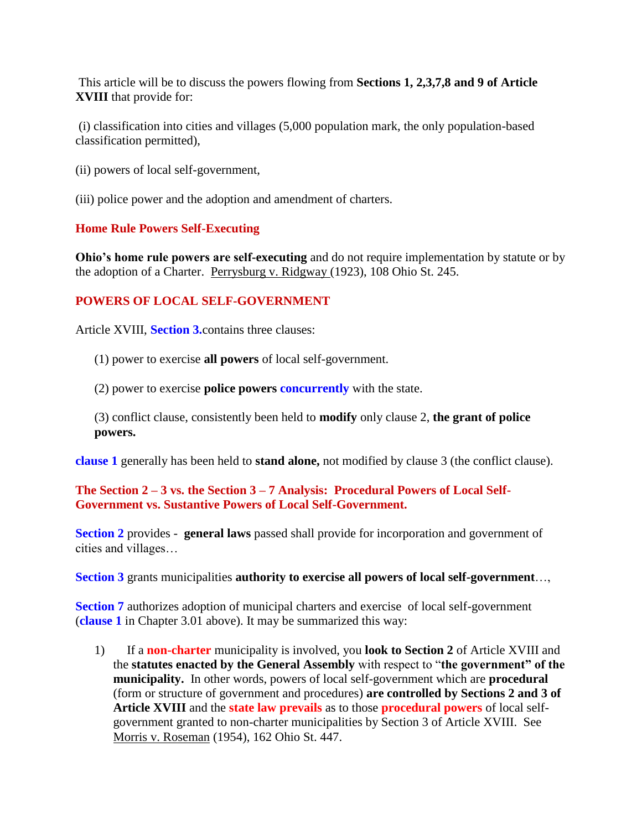This article will be to discuss the powers flowing from **Sections 1, 2,3,7,8 and 9 of Article XVIII** that provide for:

(i) classification into cities and villages (5,000 population mark, the only population-based classification permitted),

- (ii) powers of local self-government,
- (iii) police power and the adoption and amendment of charters.

### **Home Rule Powers Self-Executing**

**Ohio's home rule powers are self-executing** and do not require implementation by statute or by the adoption of a Charter. Perrysburg v. Ridgway (1923), 108 Ohio St. 245.

## **POWERS OF LOCAL SELF-GOVERNMENT**

Article XVIII, **Section 3.**contains three clauses:

(1) power to exercise **all powers** of local self-government.

(2) power to exercise **police powers concurrently** with the state.

(3) conflict clause, consistently been held to **modify** only clause 2, **the grant of police powers.**

**clause 1** generally has been held to **stand alone,** not modified by clause 3 (the conflict clause).

## **The Section 2 – 3 vs. the Section 3 – 7 Analysis: Procedural Powers of Local Self-Government vs. Sustantive Powers of Local Self-Government.**

**Section 2** provides - **general laws** passed shall provide for incorporation and government of cities and villages…

### **Section 3** grants municipalities **authority to exercise all powers of local self-government**…,

**Section 7** authorizes adoption of municipal charters and exercise of local self-government (**clause 1** in Chapter 3.01 above). It may be summarized this way:

1) If a **non-charter** municipality is involved, you **look to Section 2** of Article XVIII and the **statutes enacted by the General Assembly** with respect to "**the government" of the municipality.** In other words, powers of local self-government which are **procedural** (form or structure of government and procedures) **are controlled by Sections 2 and 3 of Article XVIII** and the **state law prevails** as to those **procedural powers** of local selfgovernment granted to non-charter municipalities by Section 3 of Article XVIII. See Morris v. Roseman (1954), 162 Ohio St. 447.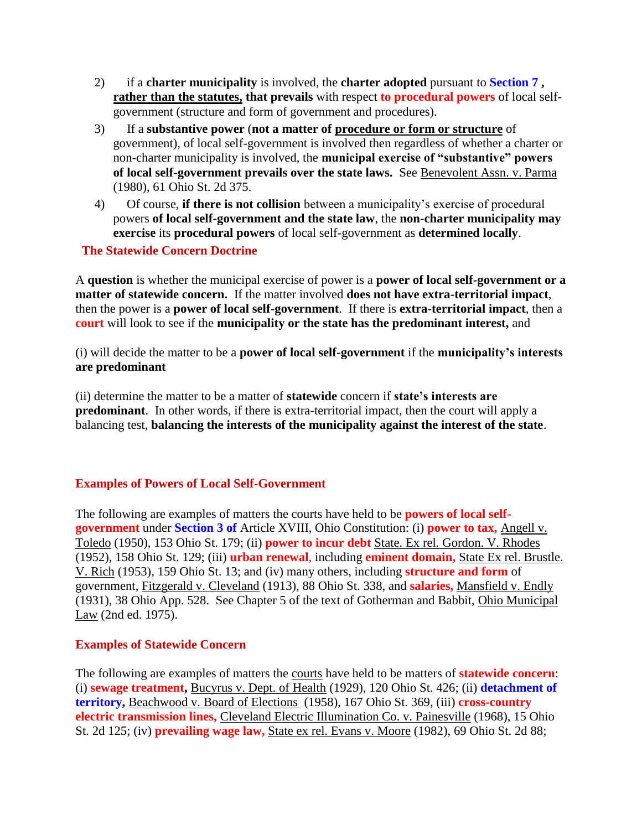- 2) if a **charter municipality** is involved, the **charter adopted** pursuant to **Section 7 , rather than the statutes, that prevails** with respect **to procedural powers** of local selfgovernment (structure and form of government and procedures).
- 3) If a **substantive power** (**not a matter of procedure or form or structure** of government), of local self-government is involved then regardless of whether a charter or non-charter municipality is involved, the **municipal exercise of "substantive" powers of local self-government prevails over the state laws.** See Benevolent Assn. v. Parma (1980), 61 Ohio St. 2d 375.
- 4) Of course, **if there is not collision** between a municipality's exercise of procedural powers **of local self-government and the state law**, the **non-charter municipality may exercise** its **procedural powers** of local self-government as **determined locally**.

### **The Statewide Concern Doctrine**

A **question** is whether the municipal exercise of power is a **power of local self-government or a matter of statewide concern.** If the matter involved **does not have extra-territorial impact**, then the power is a **power of local self-government**. If there is **extra-territorial impact**, then a **court** will look to see if the **municipality or the state has the predominant interest,** and

(i) will decide the matter to be a **power of local self-government** if the **municipality's interests are predominant** 

(ii) determine the matter to be a matter of **statewide** concern if **state's interests are predominant**. In other words, if there is extra-territorial impact, then the court will apply a balancing test, **balancing the interests of the municipality against the interest of the state**.

### **Examples of Powers of Local Self-Government**

The following are examples of matters the courts have held to be **powers of local selfgovernment** under **Section 3 of** Article XVIII, Ohio Constitution: (i) **power to tax,** Angell v. Toledo (1950), 153 Ohio St. 179; (ii) **power to incur debt** State. Ex rel. Gordon. V. Rhodes (1952), 158 Ohio St. 129; (iii) **urban renewal**, including **eminent domain,** State Ex rel. Brustle. V. Rich (1953), 159 Ohio St. 13; and (iv) many others, including **structure and form** of government, Fitzgerald v. Cleveland (1913), 88 Ohio St. 338, and **salaries,** Mansfield v. Endly (1931), 38 Ohio App. 528. See Chapter 5 of the text of Gotherman and Babbit, Ohio Municipal Law (2nd ed. 1975).

### **Examples of Statewide Concern**

The following are examples of matters the courts have held to be matters of **statewide concern**: (i) **sewage treatment,** Bucyrus v. Dept. of Health (1929), 120 Ohio St. 426; (ii) **detachment of territory,** Beachwood v. Board of Elections (1958), 167 Ohio St. 369, (iii) **cross-country electric transmission lines,** Cleveland Electric Illumination Co. v. Painesville (1968), 15 Ohio St. 2d 125; (iv) **prevailing wage law,** State ex rel. Evans v. Moore (1982), 69 Ohio St. 2d 88;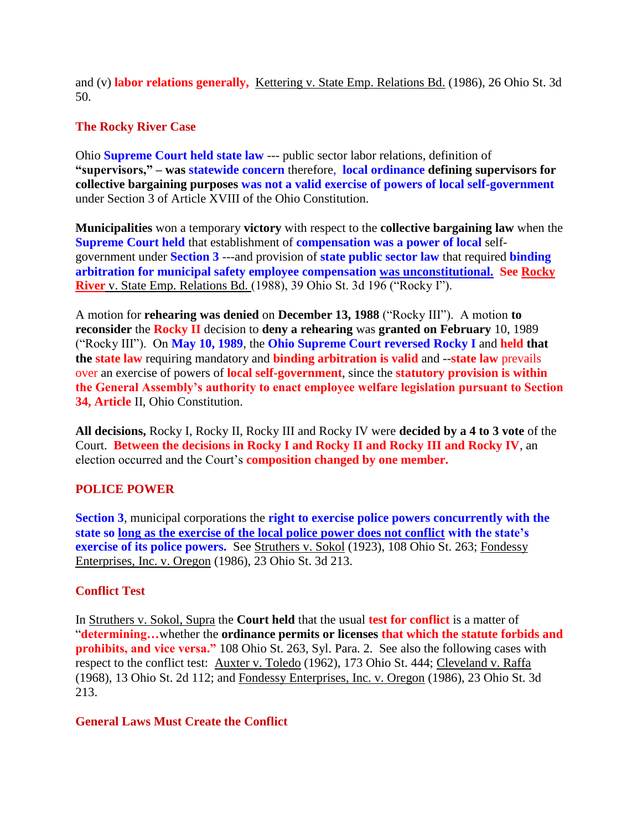and (v) **labor relations generally,** Kettering v. State Emp. Relations Bd. (1986), 26 Ohio St. 3d 50.

## **The Rocky River Case**

Ohio **Supreme Court held state law** --- public sector labor relations, definition of **"supervisors," – was statewide concern** therefore, **local ordinance defining supervisors for collective bargaining purposes was not a valid exercise of powers of local self-government**  under Section 3 of Article XVIII of the Ohio Constitution.

**Municipalities** won a temporary **victory** with respect to the **collective bargaining law** when the **Supreme Court held** that establishment of **compensation was a power of local** selfgovernment under **Section 3** ---and provision of **state public sector law** that required **binding arbitration for municipal safety employee compensation was unconstitutional. See Rocky River** v. State Emp. Relations Bd. (1988), 39 Ohio St. 3d 196 ("Rocky I").

A motion for **rehearing was denied** on **December 13, 1988** ("Rocky III"). A motion **to reconsider** the **Rocky II** decision to **deny a rehearing** was **granted on February** 10, 1989 ("Rocky III"). On **May 10, 1989**, the **Ohio Supreme Court reversed Rocky I** and **held that the state law** requiring mandatory and **binding arbitration is valid** and --**state law** prevails over an exercise of powers of **local self-government**, since the **statutory provision is within the General Assembly's authority to enact employee welfare legislation pursuant to Section 34, Article** II, Ohio Constitution.

**All decisions,** Rocky I, Rocky II, Rocky III and Rocky IV were **decided by a 4 to 3 vote** of the Court. **Between the decisions in Rocky I and Rocky II and Rocky III and Rocky IV**, an election occurred and the Court's **composition changed by one member.**

# **POLICE POWER**

**Section 3**, municipal corporations the **right to exercise police powers concurrently with the state so long as the exercise of the local police power does not conflict with the state's exercise of its police powers.** See Struthers v. Sokol (1923), 108 Ohio St. 263; Fondessy Enterprises, Inc. v. Oregon (1986), 23 Ohio St. 3d 213.

## **Conflict Test**

In Struthers v. Sokol, Supra the **Court held** that the usual **test for conflict** is a matter of "**determining…**whether the **ordinance permits or licenses that which the statute forbids and prohibits, and vice versa."** 108 Ohio St. 263, Syl. Para. 2. See also the following cases with respect to the conflict test: Auxter v. Toledo (1962), 173 Ohio St. 444; Cleveland v. Raffa (1968), 13 Ohio St. 2d 112; and Fondessy Enterprises, Inc. v. Oregon (1986), 23 Ohio St. 3d 213.

## **General Laws Must Create the Conflict**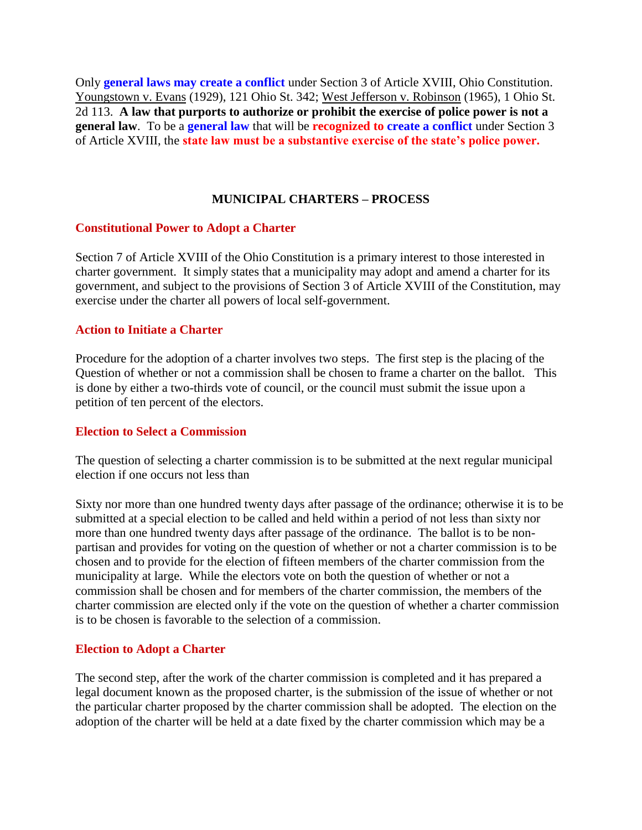Only **general laws may create a conflict** under Section 3 of Article XVIII, Ohio Constitution. Youngstown v. Evans (1929), 121 Ohio St. 342; West Jefferson v. Robinson (1965), 1 Ohio St. 2d 113. **A law that purports to authorize or prohibit the exercise of police power is not a general law**. To be a **general law** that will be **recognized to create a conflict** under Section 3 of Article XVIII, the **state law must be a substantive exercise of the state's police power.**

### **MUNICIPAL CHARTERS – PROCESS**

#### **Constitutional Power to Adopt a Charter**

Section 7 of Article XVIII of the Ohio Constitution is a primary interest to those interested in charter government. It simply states that a municipality may adopt and amend a charter for its government, and subject to the provisions of Section 3 of Article XVIII of the Constitution, may exercise under the charter all powers of local self-government.

#### **Action to Initiate a Charter**

Procedure for the adoption of a charter involves two steps. The first step is the placing of the Question of whether or not a commission shall be chosen to frame a charter on the ballot. This is done by either a two-thirds vote of council, or the council must submit the issue upon a petition of ten percent of the electors.

#### **Election to Select a Commission**

The question of selecting a charter commission is to be submitted at the next regular municipal election if one occurs not less than

Sixty nor more than one hundred twenty days after passage of the ordinance; otherwise it is to be submitted at a special election to be called and held within a period of not less than sixty nor more than one hundred twenty days after passage of the ordinance. The ballot is to be nonpartisan and provides for voting on the question of whether or not a charter commission is to be chosen and to provide for the election of fifteen members of the charter commission from the municipality at large. While the electors vote on both the question of whether or not a commission shall be chosen and for members of the charter commission, the members of the charter commission are elected only if the vote on the question of whether a charter commission is to be chosen is favorable to the selection of a commission.

### **Election to Adopt a Charter**

The second step, after the work of the charter commission is completed and it has prepared a legal document known as the proposed charter, is the submission of the issue of whether or not the particular charter proposed by the charter commission shall be adopted. The election on the adoption of the charter will be held at a date fixed by the charter commission which may be a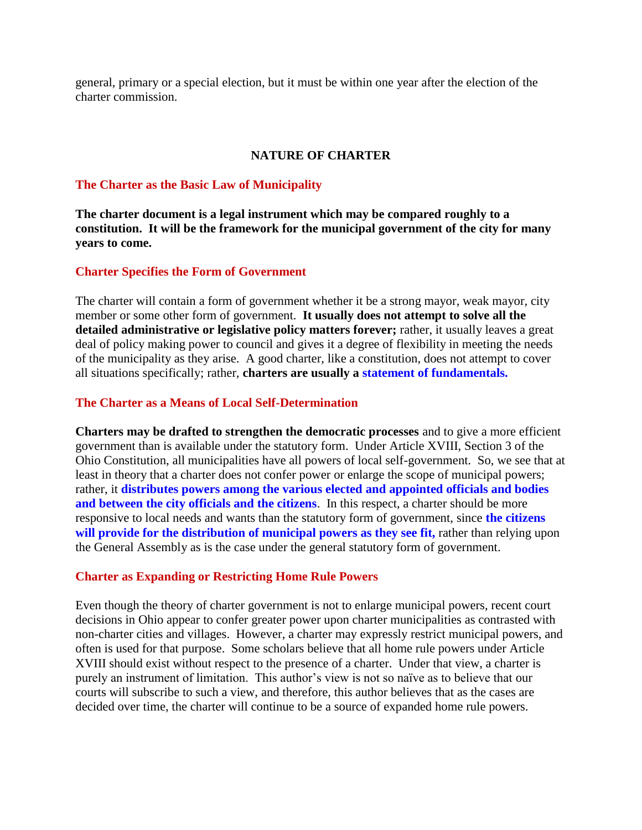general, primary or a special election, but it must be within one year after the election of the charter commission.

### **NATURE OF CHARTER**

#### **The Charter as the Basic Law of Municipality**

**The charter document is a legal instrument which may be compared roughly to a constitution. It will be the framework for the municipal government of the city for many years to come.**

### **Charter Specifies the Form of Government**

The charter will contain a form of government whether it be a strong mayor, weak mayor, city member or some other form of government. **It usually does not attempt to solve all the detailed administrative or legislative policy matters forever;** rather, it usually leaves a great deal of policy making power to council and gives it a degree of flexibility in meeting the needs of the municipality as they arise. A good charter, like a constitution, does not attempt to cover all situations specifically; rather, **charters are usually a statement of fundamentals.**

#### **The Charter as a Means of Local Self-Determination**

**Charters may be drafted to strengthen the democratic processes** and to give a more efficient government than is available under the statutory form. Under Article XVIII, Section 3 of the Ohio Constitution, all municipalities have all powers of local self-government. So, we see that at least in theory that a charter does not confer power or enlarge the scope of municipal powers; rather, it **distributes powers among the various elected and appointed officials and bodies**  and between the city officials and the citizens. In this respect, a charter should be more responsive to local needs and wants than the statutory form of government, since **the citizens will provide for the distribution of municipal powers as they see fit,** rather than relying upon the General Assembly as is the case under the general statutory form of government.

### **Charter as Expanding or Restricting Home Rule Powers**

Even though the theory of charter government is not to enlarge municipal powers, recent court decisions in Ohio appear to confer greater power upon charter municipalities as contrasted with non-charter cities and villages. However, a charter may expressly restrict municipal powers, and often is used for that purpose. Some scholars believe that all home rule powers under Article XVIII should exist without respect to the presence of a charter. Under that view, a charter is purely an instrument of limitation. This author's view is not so naïve as to believe that our courts will subscribe to such a view, and therefore, this author believes that as the cases are decided over time, the charter will continue to be a source of expanded home rule powers.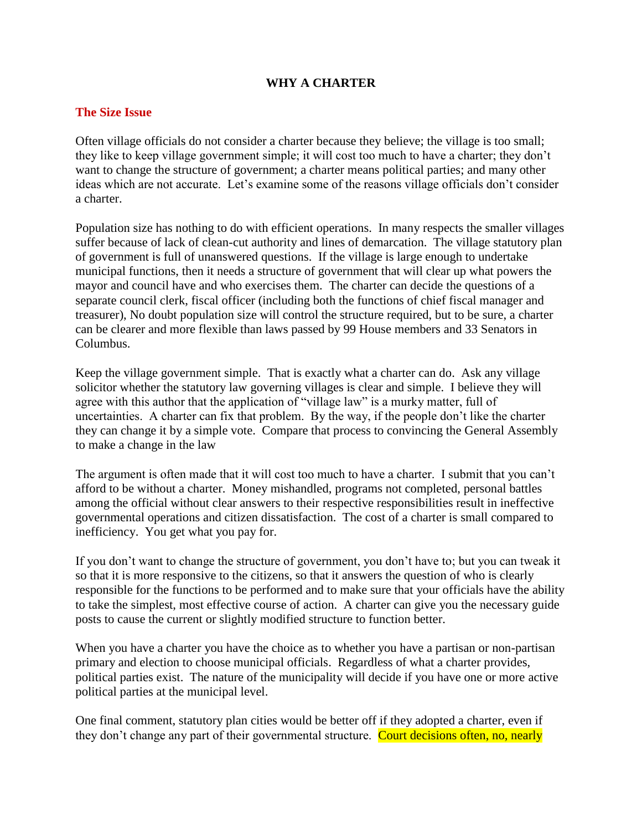### **WHY A CHARTER**

### **The Size Issue**

Often village officials do not consider a charter because they believe; the village is too small; they like to keep village government simple; it will cost too much to have a charter; they don't want to change the structure of government; a charter means political parties; and many other ideas which are not accurate. Let's examine some of the reasons village officials don't consider a charter.

Population size has nothing to do with efficient operations. In many respects the smaller villages suffer because of lack of clean-cut authority and lines of demarcation. The village statutory plan of government is full of unanswered questions. If the village is large enough to undertake municipal functions, then it needs a structure of government that will clear up what powers the mayor and council have and who exercises them. The charter can decide the questions of a separate council clerk, fiscal officer (including both the functions of chief fiscal manager and treasurer), No doubt population size will control the structure required, but to be sure, a charter can be clearer and more flexible than laws passed by 99 House members and 33 Senators in Columbus.

Keep the village government simple. That is exactly what a charter can do. Ask any village solicitor whether the statutory law governing villages is clear and simple. I believe they will agree with this author that the application of "village law" is a murky matter, full of uncertainties. A charter can fix that problem. By the way, if the people don't like the charter they can change it by a simple vote. Compare that process to convincing the General Assembly to make a change in the law

The argument is often made that it will cost too much to have a charter. I submit that you can't afford to be without a charter. Money mishandled, programs not completed, personal battles among the official without clear answers to their respective responsibilities result in ineffective governmental operations and citizen dissatisfaction. The cost of a charter is small compared to inefficiency. You get what you pay for.

If you don't want to change the structure of government, you don't have to; but you can tweak it so that it is more responsive to the citizens, so that it answers the question of who is clearly responsible for the functions to be performed and to make sure that your officials have the ability to take the simplest, most effective course of action. A charter can give you the necessary guide posts to cause the current or slightly modified structure to function better.

When you have a charter you have the choice as to whether you have a partisan or non-partisan primary and election to choose municipal officials. Regardless of what a charter provides, political parties exist. The nature of the municipality will decide if you have one or more active political parties at the municipal level.

One final comment, statutory plan cities would be better off if they adopted a charter, even if they don't change any part of their governmental structure. Court decisions often, no, nearly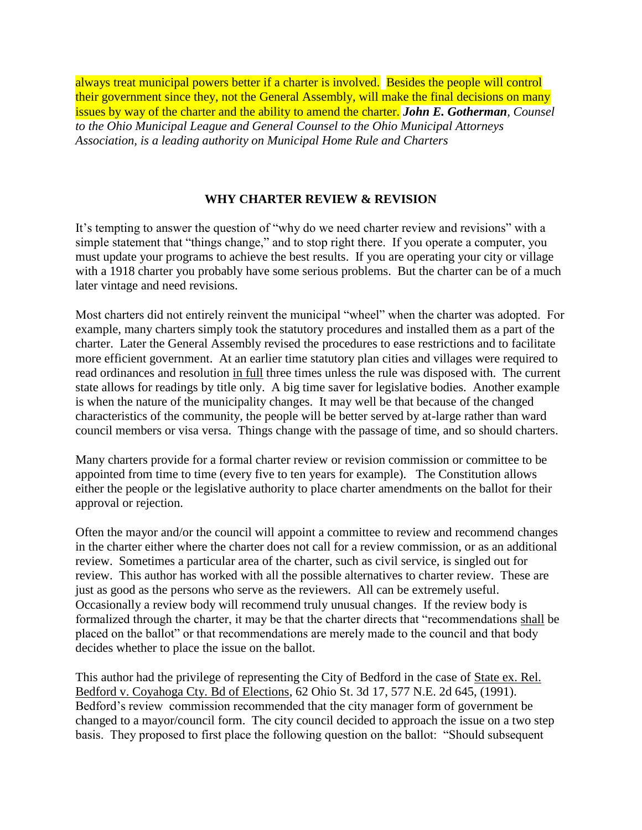always treat municipal powers better if a charter is involved. Besides the people will control their government since they, not the General Assembly, will make the final decisions on many issues by way of the charter and the ability to amend the charter. *John E. Gotherman, Counsel to the Ohio Municipal League and General Counsel to the Ohio Municipal Attorneys Association, is a leading authority on Municipal Home Rule and Charters*

## **WHY CHARTER REVIEW & REVISION**

It's tempting to answer the question of "why do we need charter review and revisions" with a simple statement that "things change," and to stop right there. If you operate a computer, you must update your programs to achieve the best results. If you are operating your city or village with a 1918 charter you probably have some serious problems. But the charter can be of a much later vintage and need revisions.

Most charters did not entirely reinvent the municipal "wheel" when the charter was adopted. For example, many charters simply took the statutory procedures and installed them as a part of the charter. Later the General Assembly revised the procedures to ease restrictions and to facilitate more efficient government. At an earlier time statutory plan cities and villages were required to read ordinances and resolution in full three times unless the rule was disposed with. The current state allows for readings by title only. A big time saver for legislative bodies. Another example is when the nature of the municipality changes. It may well be that because of the changed characteristics of the community, the people will be better served by at-large rather than ward council members or visa versa. Things change with the passage of time, and so should charters.

Many charters provide for a formal charter review or revision commission or committee to be appointed from time to time (every five to ten years for example). The Constitution allows either the people or the legislative authority to place charter amendments on the ballot for their approval or rejection.

Often the mayor and/or the council will appoint a committee to review and recommend changes in the charter either where the charter does not call for a review commission, or as an additional review. Sometimes a particular area of the charter, such as civil service, is singled out for review. This author has worked with all the possible alternatives to charter review. These are just as good as the persons who serve as the reviewers. All can be extremely useful. Occasionally a review body will recommend truly unusual changes. If the review body is formalized through the charter, it may be that the charter directs that "recommendations shall be placed on the ballot" or that recommendations are merely made to the council and that body decides whether to place the issue on the ballot.

This author had the privilege of representing the City of Bedford in the case of State ex. Rel. Bedford v. Coyahoga Cty. Bd of Elections, 62 Ohio St. 3d 17, 577 N.E. 2d 645, (1991). Bedford's review commission recommended that the city manager form of government be changed to a mayor/council form. The city council decided to approach the issue on a two step basis. They proposed to first place the following question on the ballot: "Should subsequent